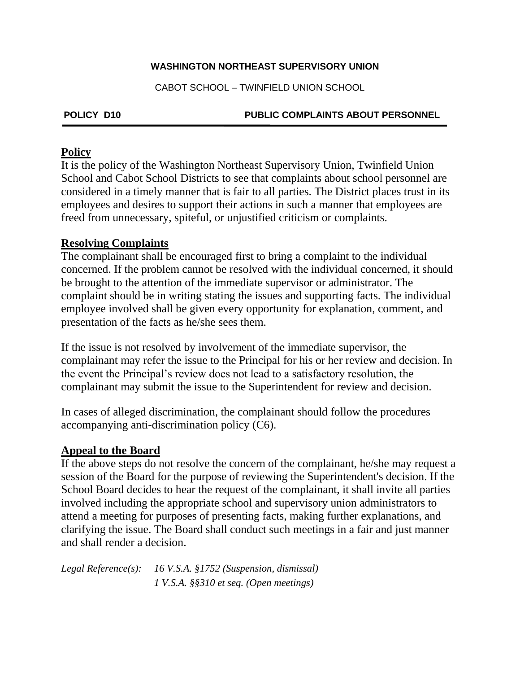#### **WASHINGTON NORTHEAST SUPERVISORY UNION**

CABOT SCHOOL – TWINFIELD UNION SCHOOL

### **POLICY D10 PUBLIC COMPLAINTS ABOUT PERSONNEL**

### **Policy**

It is the policy of the Washington Northeast Supervisory Union, Twinfield Union School and Cabot School Districts to see that complaints about school personnel are considered in a timely manner that is fair to all parties. The District places trust in its employees and desires to support their actions in such a manner that employees are freed from unnecessary, spiteful, or unjustified criticism or complaints.

## **Resolving Complaints**

The complainant shall be encouraged first to bring a complaint to the individual concerned. If the problem cannot be resolved with the individual concerned, it should be brought to the attention of the immediate supervisor or administrator. The complaint should be in writing stating the issues and supporting facts. The individual employee involved shall be given every opportunity for explanation, comment, and presentation of the facts as he/she sees them.

If the issue is not resolved by involvement of the immediate supervisor, the complainant may refer the issue to the Principal for his or her review and decision. In the event the Principal's review does not lead to a satisfactory resolution, the complainant may submit the issue to the Superintendent for review and decision.

In cases of alleged discrimination, the complainant should follow the procedures accompanying anti-discrimination policy (C6).

# **Appeal to the Board**

If the above steps do not resolve the concern of the complainant, he/she may request a session of the Board for the purpose of reviewing the Superintendent's decision. If the School Board decides to hear the request of the complainant, it shall invite all parties involved including the appropriate school and supervisory union administrators to attend a meeting for purposes of presenting facts, making further explanations, and clarifying the issue. The Board shall conduct such meetings in a fair and just manner and shall render a decision.

*Legal Reference(s): 16 V.S.A. §1752 (Suspension, dismissal) 1 V.S.A. §§310 et seq. (Open meetings)*